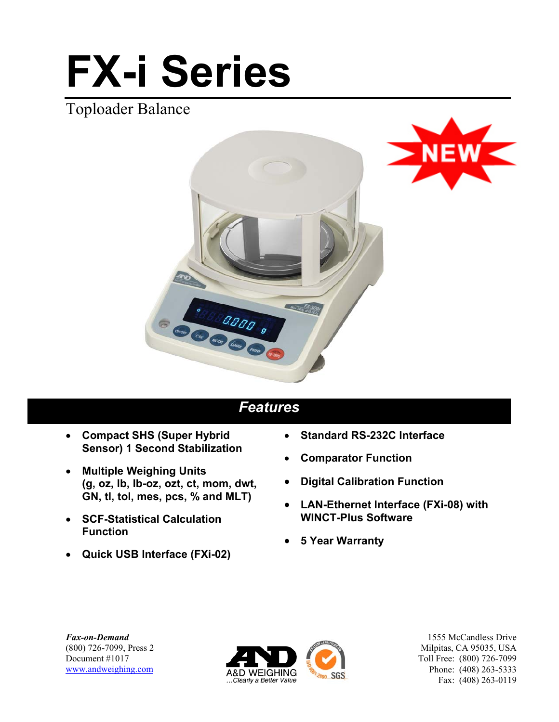# **FX-i Series**

## Toploader Balance





City of CALLED S

- **Compact SHS (Super Hybrid Sensor) 1 Second Stabilization**
- **Multiple Weighing Units (g, oz, lb, lb-oz, ozt, ct, mom, dwt, GN, tl, tol, mes, pcs, % and MLT)**
- **SCF-Statistical Calculation Function**
- **Quick USB Interface (FXi-02)**
- **Standard RS-232C Interface**
- **Comparator Function**
- **Digital Calibration Function**
- **LAN-Ethernet Interface (FXi-08) with WINCT-Plus Software**
- **5 Year Warranty**

*Fax-on-Demand* (800) 726-7099, Press 2 Document #1017 www.andweighing.com



1555 McCandless Drive Milpitas, CA 95035, USA Toll Free: (800) 726-7099 Phone: (408) 263-5333 Fax: (408) 263-0119